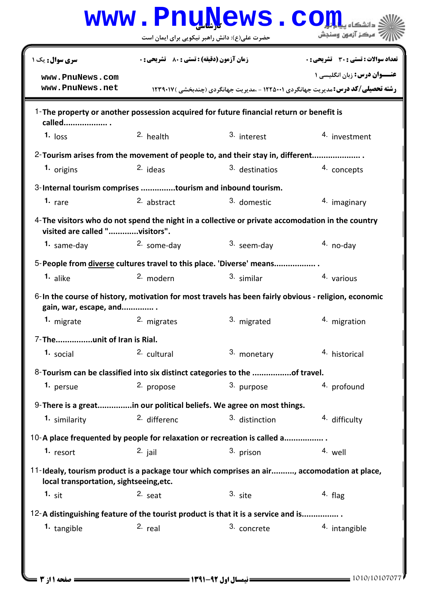|                                                                                                                                        |                                                    | www.PnuNews.co |                                                                                                                                 |
|----------------------------------------------------------------------------------------------------------------------------------------|----------------------------------------------------|----------------|---------------------------------------------------------------------------------------------------------------------------------|
|                                                                                                                                        | حضرت علی(ع): دانش راهبر نیکویی برای ایمان است      |                | مركز آزمون وسنجش                                                                                                                |
| <b>سری سوال :</b> یک ۱                                                                                                                 | <b>زمان آزمون (دقیقه) : تستی : 80 ٪ تشریحی : 0</b> |                | تعداد سوالات : تستي : 30 ٪ تشريحي : 0                                                                                           |
| www.PnuNews.com<br>www.PnuNews.net                                                                                                     |                                                    |                | <b>عنـــوان درس:</b> زبان انگلیسی ۱<br><b>رشته تحصیلی/کد درس: مدیریت جهانگردی ۱۲۲۵۰۰۱ - ،مدیریت جهانگردی (چندبخشی ) ۱۲۳۹۰۱۷</b> |
| 1-The property or another possession acquired for future financial return or benefit is<br>called                                      |                                                    |                |                                                                                                                                 |
| $1.$ loss                                                                                                                              | 2. health                                          | 3. interest    | 4. investment                                                                                                                   |
| 2-Tourism arises from the movement of people to, and their stay in, different                                                          |                                                    |                |                                                                                                                                 |
| 1. origins                                                                                                                             | $2.$ ideas                                         | 3. destinatios | 4. concepts                                                                                                                     |
| 3-Internal tourism comprises tourism and inbound tourism.                                                                              |                                                    |                |                                                                                                                                 |
| 1. $rare$                                                                                                                              | 2. abstract                                        | 3. domestic    | 4. imaginary                                                                                                                    |
| $4$ -The visitors who do not spend the night in a collective or private accomodation in the country<br>visited are called "visitors".  |                                                    |                |                                                                                                                                 |
| 1. same-day                                                                                                                            | 2. some-day                                        | 3. seem-day    | $4. no-day$                                                                                                                     |
| 5-People from diverse cultures travel to this place. 'Diverse' means                                                                   |                                                    |                |                                                                                                                                 |
| 1. alike                                                                                                                               | 2. modern                                          | 3. similar     | 4. various                                                                                                                      |
| 6-In the course of history, motivation for most travels has been fairly obvious - religion, economic<br>gain, war, escape, and         |                                                    |                |                                                                                                                                 |
| 1. migrate                                                                                                                             | 2. migrates                                        | 3. migrated    | 4. migration                                                                                                                    |
| 7-Theunit of Iran is Rial.                                                                                                             |                                                    |                |                                                                                                                                 |
| 1. social                                                                                                                              | 2. cultural                                        | 3. monetary    | 4. historical                                                                                                                   |
| 8-Tourism can be classified into six distinct categories to the of travel.                                                             |                                                    |                |                                                                                                                                 |
| 1. persue                                                                                                                              | 2. propose                                         | 3. purpose     | 4. profound                                                                                                                     |
| 9-There is a greatin our political beliefs. We agree on most things.                                                                   |                                                    |                |                                                                                                                                 |
| 1. similarity                                                                                                                          | 2. differenc                                       | 3. distinction | 4. difficulty                                                                                                                   |
| 10-A place frequented by people for relaxation or recreation is called a                                                               |                                                    |                |                                                                                                                                 |
| 1. resort                                                                                                                              | $2.$ jail                                          | 3. prison      | 4. well                                                                                                                         |
| 11-Idealy, tourism product is a package tour which comprises an air, accomodation at place,<br>local transportation, sightseeing, etc. |                                                    |                |                                                                                                                                 |
| $1.$ sit                                                                                                                               | $2.$ seat                                          | $3.$ site      | $4.$ flag                                                                                                                       |
| 12-A distinguishing feature of the tourist product is that it is a service and is                                                      |                                                    |                |                                                                                                                                 |
| <sup>1.</sup> tangible                                                                                                                 | $2.$ real                                          | 3. concrete    | 4. intangible                                                                                                                   |
|                                                                                                                                        |                                                    |                |                                                                                                                                 |
|                                                                                                                                        |                                                    |                |                                                                                                                                 |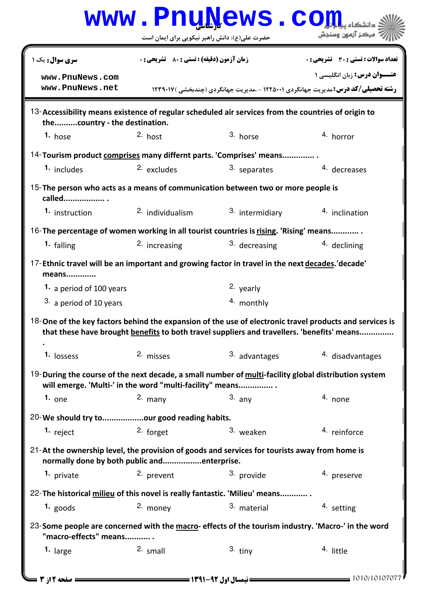|                                                                                                                                                                  |                                                    | www.PnuNews.co           |                                                                                                                                                                                                       |
|------------------------------------------------------------------------------------------------------------------------------------------------------------------|----------------------------------------------------|--------------------------|-------------------------------------------------------------------------------------------------------------------------------------------------------------------------------------------------------|
|                                                                                                                                                                  | حضرت علی(ع): دانش راهبر نیکویی برای ایمان است      |                          | أ مركز آزمون وسنجش                                                                                                                                                                                    |
| <b>سری سوال:</b> یک ۱                                                                                                                                            | <b>زمان آزمون (دقیقه) : تستی : 80 ٪ تشریحی : 0</b> |                          | <b>تعداد سوالات : تستی : 30 ٪ تشریحی : 0</b>                                                                                                                                                          |
| www.PnuNews.com<br>www.PnuNews.net                                                                                                                               |                                                    |                          | <b>عنـــوان درس:</b> زبان انگلیسی ۱<br><b>رشته تحصیلی/کد درس: مدیریت جهانگردی ۱۲۲۵۰۰۱ - ،مدیریت جهانگردی (چندبخشی ) ۱۲۳۹۰۱۷</b>                                                                       |
| 13-Accessibility means existence of regular scheduled air services from the countries of origin to<br>thecountry - the destination.                              |                                                    |                          |                                                                                                                                                                                                       |
| 1. hose                                                                                                                                                          | $2.$ host                                          | 3. horse                 | 4. horror                                                                                                                                                                                             |
| 14- Tourism product comprises many differnt parts. 'Comprises' means                                                                                             |                                                    |                          |                                                                                                                                                                                                       |
| 1. includes                                                                                                                                                      | 2. excludes                                        | 3. separates             | 4. decreases                                                                                                                                                                                          |
| 15-The person who acts as a means of communication between two or more people is<br>called                                                                       |                                                    |                          |                                                                                                                                                                                                       |
| <b>1.</b> instruction                                                                                                                                            | <sup>2.</sup> individualism                        | 3. intermidiary          | 4. inclination                                                                                                                                                                                        |
| 16-The percentage of women working in all tourist countries is rising. 'Rising' means                                                                            |                                                    |                          |                                                                                                                                                                                                       |
| 1. falling                                                                                                                                                       | 2. increasing                                      | 3. decreasing            | 4. declining                                                                                                                                                                                          |
| 17-Ethnic travel will be an important and growing factor in travel in the next decades. 'decade'<br>means                                                        |                                                    |                          |                                                                                                                                                                                                       |
| 1. a period of 100 years                                                                                                                                         |                                                    | 2. yearly                |                                                                                                                                                                                                       |
| 3. a period of 10 years                                                                                                                                          |                                                    | 4. monthly               |                                                                                                                                                                                                       |
|                                                                                                                                                                  |                                                    |                          | 18-One of the key factors behind the expansion of the use of electronic travel products and services is<br>that these have brought benefits to both travel suppliers and travellers. 'benefits' means |
| 1. lossess                                                                                                                                                       | 2. misses                                          | <sup>3.</sup> advantages | 4. disadvantages                                                                                                                                                                                      |
| 19-During the course of the next decade, a small number of multi-facility global distribution system<br>will emerge. 'Multi-' in the word "multi-facility" means |                                                    |                          |                                                                                                                                                                                                       |
| 1. one                                                                                                                                                           | $2.$ many                                          | $3.$ any                 | 4. none                                                                                                                                                                                               |
| 20-We should try toour good reading habits.                                                                                                                      |                                                    |                          |                                                                                                                                                                                                       |
| 1. $reject$                                                                                                                                                      | 2. forget                                          | 3. weaken                | 4. reinforce                                                                                                                                                                                          |
| 21-At the ownership level, the provision of goods and services for tourists away from home is<br>normally done by both public andenterprise.                     |                                                    |                          |                                                                                                                                                                                                       |
| 1. private                                                                                                                                                       | 2. prevent                                         | 3. provide               | 4. preserve                                                                                                                                                                                           |
| 22- The historical milieu of this novel is really fantastic. 'Milieu' means                                                                                      |                                                    |                          |                                                                                                                                                                                                       |
| $1.$ goods                                                                                                                                                       | 2. money                                           | 3. material              | 4. setting                                                                                                                                                                                            |
| 23-Some people are concerned with the macro- effects of the tourism industry. 'Macro-' in the word<br>"macro-effects" means                                      |                                                    |                          |                                                                                                                                                                                                       |
| 1. large                                                                                                                                                         | $2.$ small                                         | $3.$ tiny                | 4. little                                                                                                                                                                                             |
| <b>: صفحه 2 از 3 =</b>                                                                                                                                           | <b>ـــــ نیمسال اول ۹۲-۲۹۱ ـــــــــــــــــ</b>   |                          | $\frac{1010}{10107077}$                                                                                                                                                                               |